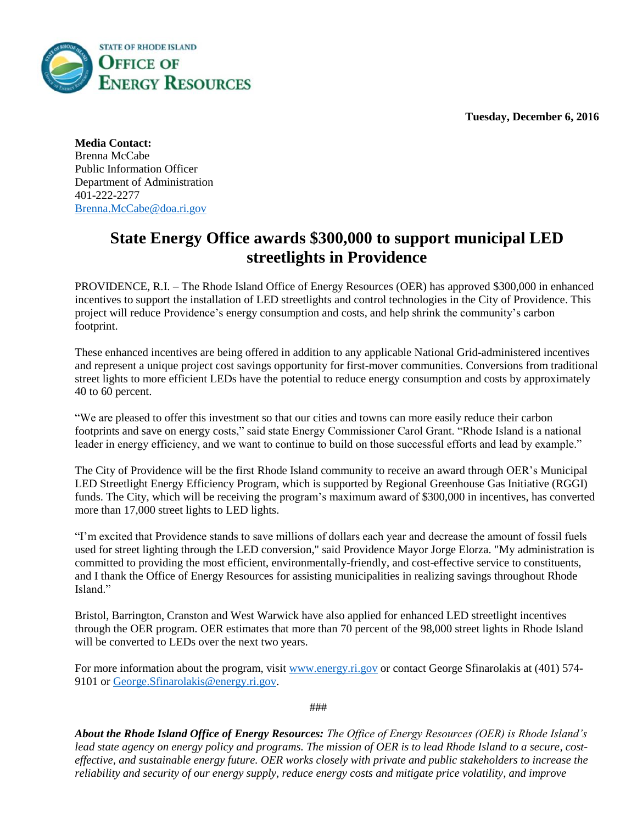**Tuesday, December 6, 2016**



**Media Contact:** Brenna McCabe Public Information Officer Department of Administration 401-222-2277 [Brenna.McCabe@doa.ri.gov](mailto:Brenna.McCabe@doa.ri.gov)

## **State Energy Office awards \$300,000 to support municipal LED streetlights in Providence**

PROVIDENCE, R.I. – The Rhode Island Office of Energy Resources (OER) has approved \$300,000 in enhanced incentives to support the installation of LED streetlights and control technologies in the City of Providence. This project will reduce Providence's energy consumption and costs, and help shrink the community's carbon footprint.

These enhanced incentives are being offered in addition to any applicable National Grid-administered incentives and represent a unique project cost savings opportunity for first-mover communities. Conversions from traditional street lights to more efficient LEDs have the potential to reduce energy consumption and costs by approximately 40 to 60 percent.

"We are pleased to offer this investment so that our cities and towns can more easily reduce their carbon footprints and save on energy costs," said state Energy Commissioner Carol Grant. "Rhode Island is a national leader in energy efficiency, and we want to continue to build on those successful efforts and lead by example."

The City of Providence will be the first Rhode Island community to receive an award through OER's Municipal LED Streetlight Energy Efficiency Program, which is supported by Regional Greenhouse Gas Initiative (RGGI) funds. The City, which will be receiving the program's maximum award of \$300,000 in incentives, has converted more than 17,000 street lights to LED lights.

"I'm excited that Providence stands to save millions of dollars each year and decrease the amount of fossil fuels used for street lighting through the LED conversion," said Providence Mayor Jorge Elorza. "My administration is committed to providing the most efficient, environmentally-friendly, and cost-effective service to constituents, and I thank the Office of Energy Resources for assisting municipalities in realizing savings throughout Rhode Island<sup>"</sup>

Bristol, Barrington, Cranston and West Warwick have also applied for enhanced LED streetlight incentives through the OER program. OER estimates that more than 70 percent of the 98,000 street lights in Rhode Island will be converted to LEDs over the next two years.

For more information about the program, visit [www.energy.ri.gov](http://www.energy.ri.gov/) or contact George Sfinarolakis at (401) 5749101 o[r George.Sfinarolakis@energy.ri.gov.](mailto:George.Sfinarolakis@energy.ri.gov)

###

*About the Rhode Island Office of Energy Resources: The Office of Energy Resources (OER) is Rhode Island's lead state agency on energy policy and programs. The mission of OER is to lead Rhode Island to a secure, costeffective, and sustainable energy future. OER works closely with private and public stakeholders to increase the reliability and security of our energy supply, reduce energy costs and mitigate price volatility, and improve*